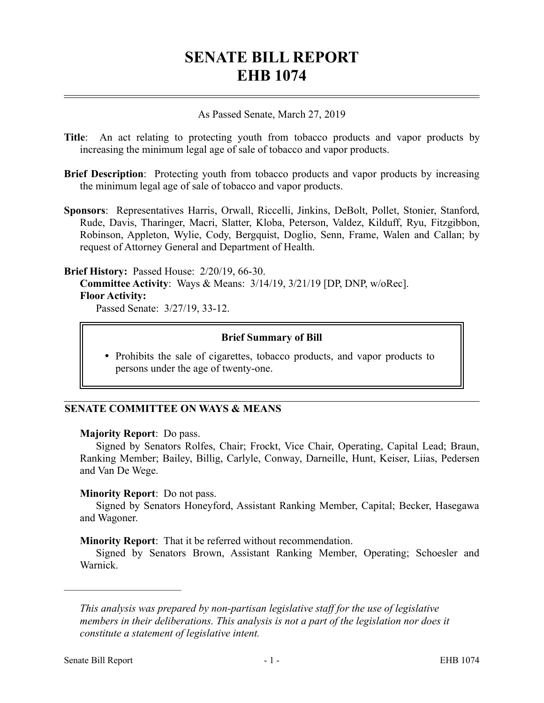# **SENATE BILL REPORT EHB 1074**

## As Passed Senate, March 27, 2019

- **Title**: An act relating to protecting youth from tobacco products and vapor products by increasing the minimum legal age of sale of tobacco and vapor products.
- **Brief Description**: Protecting youth from tobacco products and vapor products by increasing the minimum legal age of sale of tobacco and vapor products.
- **Sponsors**: Representatives Harris, Orwall, Riccelli, Jinkins, DeBolt, Pollet, Stonier, Stanford, Rude, Davis, Tharinger, Macri, Slatter, Kloba, Peterson, Valdez, Kilduff, Ryu, Fitzgibbon, Robinson, Appleton, Wylie, Cody, Bergquist, Doglio, Senn, Frame, Walen and Callan; by request of Attorney General and Department of Health.

#### **Brief History:** Passed House: 2/20/19, 66-30.

**Committee Activity**: Ways & Means: 3/14/19, 3/21/19 [DP, DNP, w/oRec]. **Floor Activity:**

Passed Senate: 3/27/19, 33-12.

#### **Brief Summary of Bill**

• Prohibits the sale of cigarettes, tobacco products, and vapor products to persons under the age of twenty-one.

# **SENATE COMMITTEE ON WAYS & MEANS**

## **Majority Report**: Do pass.

Signed by Senators Rolfes, Chair; Frockt, Vice Chair, Operating, Capital Lead; Braun, Ranking Member; Bailey, Billig, Carlyle, Conway, Darneille, Hunt, Keiser, Liias, Pedersen and Van De Wege.

## **Minority Report**: Do not pass.

Signed by Senators Honeyford, Assistant Ranking Member, Capital; Becker, Hasegawa and Wagoner.

## **Minority Report**: That it be referred without recommendation.

Signed by Senators Brown, Assistant Ranking Member, Operating; Schoesler and Warnick.

––––––––––––––––––––––

*This analysis was prepared by non-partisan legislative staff for the use of legislative members in their deliberations. This analysis is not a part of the legislation nor does it constitute a statement of legislative intent.*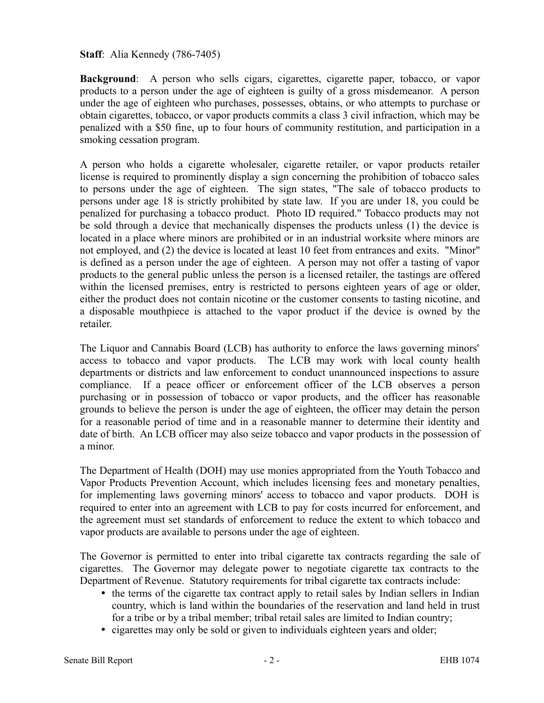## **Staff**: Alia Kennedy (786-7405)

**Background:** A person who sells cigars, cigarettes, cigarette paper, tobacco, or vapor products to a person under the age of eighteen is guilty of a gross misdemeanor. A person under the age of eighteen who purchases, possesses, obtains, or who attempts to purchase or obtain cigarettes, tobacco, or vapor products commits a class 3 civil infraction, which may be penalized with a \$50 fine, up to four hours of community restitution, and participation in a smoking cessation program.

A person who holds a cigarette wholesaler, cigarette retailer, or vapor products retailer license is required to prominently display a sign concerning the prohibition of tobacco sales to persons under the age of eighteen. The sign states, "The sale of tobacco products to persons under age 18 is strictly prohibited by state law. If you are under 18, you could be penalized for purchasing a tobacco product. Photo ID required." Tobacco products may not be sold through a device that mechanically dispenses the products unless (1) the device is located in a place where minors are prohibited or in an industrial worksite where minors are not employed, and (2) the device is located at least 10 feet from entrances and exits. "Minor" is defined as a person under the age of eighteen. A person may not offer a tasting of vapor products to the general public unless the person is a licensed retailer, the tastings are offered within the licensed premises, entry is restricted to persons eighteen years of age or older, either the product does not contain nicotine or the customer consents to tasting nicotine, and a disposable mouthpiece is attached to the vapor product if the device is owned by the retailer.

The Liquor and Cannabis Board (LCB) has authority to enforce the laws governing minors' access to tobacco and vapor products. The LCB may work with local county health departments or districts and law enforcement to conduct unannounced inspections to assure compliance. If a peace officer or enforcement officer of the LCB observes a person purchasing or in possession of tobacco or vapor products, and the officer has reasonable grounds to believe the person is under the age of eighteen, the officer may detain the person for a reasonable period of time and in a reasonable manner to determine their identity and date of birth. An LCB officer may also seize tobacco and vapor products in the possession of a minor.

The Department of Health (DOH) may use monies appropriated from the Youth Tobacco and Vapor Products Prevention Account, which includes licensing fees and monetary penalties, for implementing laws governing minors' access to tobacco and vapor products. DOH is required to enter into an agreement with LCB to pay for costs incurred for enforcement, and the agreement must set standards of enforcement to reduce the extent to which tobacco and vapor products are available to persons under the age of eighteen.

The Governor is permitted to enter into tribal cigarette tax contracts regarding the sale of cigarettes. The Governor may delegate power to negotiate cigarette tax contracts to the Department of Revenue. Statutory requirements for tribal cigarette tax contracts include:

- the terms of the cigarette tax contract apply to retail sales by Indian sellers in Indian country, which is land within the boundaries of the reservation and land held in trust for a tribe or by a tribal member; tribal retail sales are limited to Indian country;
- cigarettes may only be sold or given to individuals eighteen years and older;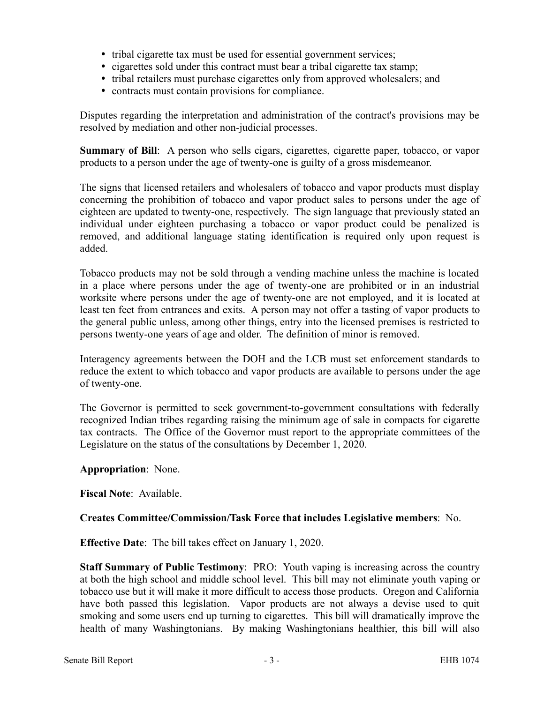- tribal cigarette tax must be used for essential government services;
- cigarettes sold under this contract must bear a tribal cigarette tax stamp;
- tribal retailers must purchase cigarettes only from approved wholesalers; and
- contracts must contain provisions for compliance.

Disputes regarding the interpretation and administration of the contract's provisions may be resolved by mediation and other non-judicial processes.

**Summary of Bill:** A person who sells cigars, cigarettes, cigarette paper, tobacco, or vapor products to a person under the age of twenty-one is guilty of a gross misdemeanor.

The signs that licensed retailers and wholesalers of tobacco and vapor products must display concerning the prohibition of tobacco and vapor product sales to persons under the age of eighteen are updated to twenty-one, respectively. The sign language that previously stated an individual under eighteen purchasing a tobacco or vapor product could be penalized is removed, and additional language stating identification is required only upon request is added.

Tobacco products may not be sold through a vending machine unless the machine is located in a place where persons under the age of twenty-one are prohibited or in an industrial worksite where persons under the age of twenty-one are not employed, and it is located at least ten feet from entrances and exits. A person may not offer a tasting of vapor products to the general public unless, among other things, entry into the licensed premises is restricted to persons twenty-one years of age and older. The definition of minor is removed.

Interagency agreements between the DOH and the LCB must set enforcement standards to reduce the extent to which tobacco and vapor products are available to persons under the age of twenty-one.

The Governor is permitted to seek government-to-government consultations with federally recognized Indian tribes regarding raising the minimum age of sale in compacts for cigarette tax contracts. The Office of the Governor must report to the appropriate committees of the Legislature on the status of the consultations by December 1, 2020.

## **Appropriation**: None.

**Fiscal Note**: Available.

# **Creates Committee/Commission/Task Force that includes Legislative members**: No.

**Effective Date**: The bill takes effect on January 1, 2020.

**Staff Summary of Public Testimony**: PRO: Youth vaping is increasing across the country at both the high school and middle school level. This bill may not eliminate youth vaping or tobacco use but it will make it more difficult to access those products. Oregon and California have both passed this legislation. Vapor products are not always a devise used to quit smoking and some users end up turning to cigarettes. This bill will dramatically improve the health of many Washingtonians. By making Washingtonians healthier, this bill will also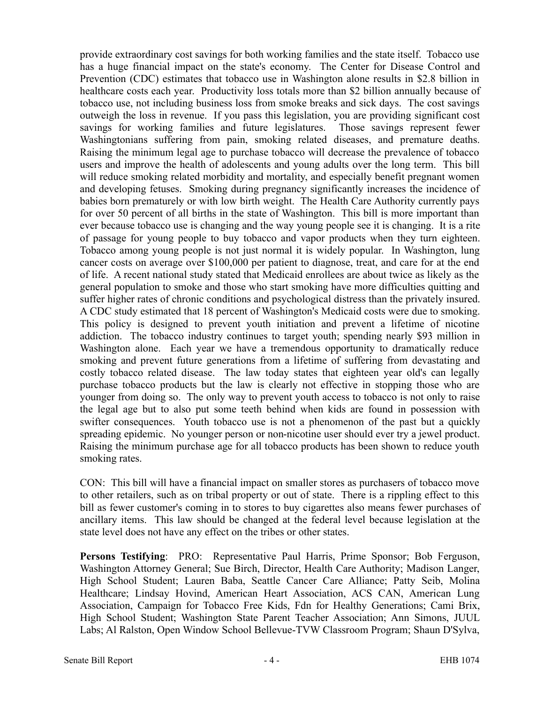provide extraordinary cost savings for both working families and the state itself. Tobacco use has a huge financial impact on the state's economy. The Center for Disease Control and Prevention (CDC) estimates that tobacco use in Washington alone results in \$2.8 billion in healthcare costs each year. Productivity loss totals more than \$2 billion annually because of tobacco use, not including business loss from smoke breaks and sick days. The cost savings outweigh the loss in revenue. If you pass this legislation, you are providing significant cost savings for working families and future legislatures. Those savings represent fewer Washingtonians suffering from pain, smoking related diseases, and premature deaths. Raising the minimum legal age to purchase tobacco will decrease the prevalence of tobacco users and improve the health of adolescents and young adults over the long term. This bill will reduce smoking related morbidity and mortality, and especially benefit pregnant women and developing fetuses. Smoking during pregnancy significantly increases the incidence of babies born prematurely or with low birth weight. The Health Care Authority currently pays for over 50 percent of all births in the state of Washington. This bill is more important than ever because tobacco use is changing and the way young people see it is changing. It is a rite of passage for young people to buy tobacco and vapor products when they turn eighteen. Tobacco among young people is not just normal it is widely popular. In Washington, lung cancer costs on average over \$100,000 per patient to diagnose, treat, and care for at the end of life. A recent national study stated that Medicaid enrollees are about twice as likely as the general population to smoke and those who start smoking have more difficulties quitting and suffer higher rates of chronic conditions and psychological distress than the privately insured. A CDC study estimated that 18 percent of Washington's Medicaid costs were due to smoking. This policy is designed to prevent youth initiation and prevent a lifetime of nicotine addiction. The tobacco industry continues to target youth; spending nearly \$93 million in Washington alone. Each year we have a tremendous opportunity to dramatically reduce smoking and prevent future generations from a lifetime of suffering from devastating and costly tobacco related disease. The law today states that eighteen year old's can legally purchase tobacco products but the law is clearly not effective in stopping those who are younger from doing so. The only way to prevent youth access to tobacco is not only to raise the legal age but to also put some teeth behind when kids are found in possession with swifter consequences. Youth tobacco use is not a phenomenon of the past but a quickly spreading epidemic. No younger person or non-nicotine user should ever try a jewel product. Raising the minimum purchase age for all tobacco products has been shown to reduce youth smoking rates.

CON: This bill will have a financial impact on smaller stores as purchasers of tobacco move to other retailers, such as on tribal property or out of state. There is a rippling effect to this bill as fewer customer's coming in to stores to buy cigarettes also means fewer purchases of ancillary items. This law should be changed at the federal level because legislation at the state level does not have any effect on the tribes or other states.

**Persons Testifying**: PRO: Representative Paul Harris, Prime Sponsor; Bob Ferguson, Washington Attorney General; Sue Birch, Director, Health Care Authority; Madison Langer, High School Student; Lauren Baba, Seattle Cancer Care Alliance; Patty Seib, Molina Healthcare; Lindsay Hovind, American Heart Association, ACS CAN, American Lung Association, Campaign for Tobacco Free Kids, Fdn for Healthy Generations; Cami Brix, High School Student; Washington State Parent Teacher Association; Ann Simons, JUUL Labs; Al Ralston, Open Window School Bellevue-TVW Classroom Program; Shaun D'Sylva,